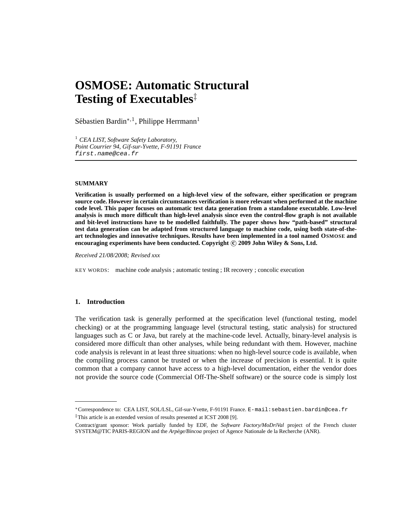# **OSMOSE: Automatic Structural Testing of Executables**‡

Sébastien Bardin<sup>∗,1</sup>, Philippe Herrmann<sup>1</sup>

<sup>1</sup> *CEA LIST, Software Safety Laboratory, Point Courrier 94, Gif-sur-Yvette, F-91191 France* first.name@cea.fr

#### **SUMMARY**

**Verification is usually performed on a high-level view of the software, either specification or program source code. However in certain circumstances verification is more relevant when performed at the machine code level. This paper focuses on automatic test data generation from a standalone executable. Low-level analysis is much more difficult than high-level analysis since even the control-flow graph is not available and bit-level instructions have to be modelled faithfully. The paper shows how "path-based" structural test data generation can be adapted from structured language to machine code, using both state-of-theart technologies and innovative techniques. Results have been implemented in a tool named OSMOSE and encouraging experiments have been conducted. Copyright c 2009 John Wiley & Sons, Ltd.**

*Received 21/08/2008; Revised xxx*

KEY WORDS: machine code analysis ; automatic testing ; IR recovery ; concolic execution

## **1. Introduction**

The verification task is generally performed at the specification level (functional testing, model checking) or at the programming language level (structural testing, static analysis) for structured languages such as C or Java, but rarely at the machine-code level. Actually, binary-level analysis is considered more difficult than other analyses, while being redundant with them. However, machine code analysis is relevant in at least three situations: when no high-level source code is available, when the compiling process cannot be trusted or when the increase of precision is essential. It is quite common that a company cannot have access to a high-level documentation, either the vendor does not provide the source code (Commercial Off-The-Shelf software) or the source code is simply lost

<sup>∗</sup>Correspondence to: CEA LIST, SOL/LSL, Gif-sur-Yvette, F-91191 France. E-mail:sebastien.bardin@cea.fr <sup>‡</sup>This article is an extended version of results presented at ICST 2008 [9].

Contract/grant sponsor: Work partially funded by EDF, the *Software Factory/MoDriVal* project of the French cluster SYSTEM@TIC PARIS-REGION and the *Arpège/Bincoa* project of Agence Nationale de la Recherche (ANR).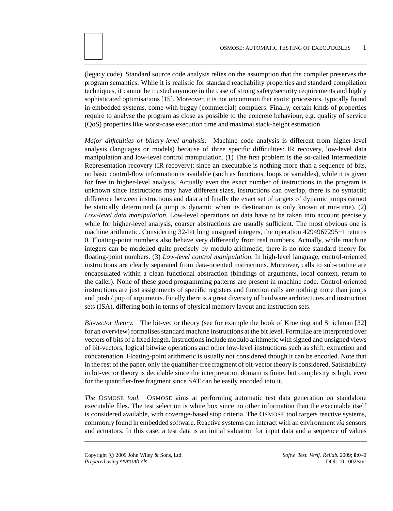(legacy code). Standard source code analysis relies on the assumption that the compiler preserves the program semantics. While it is realistic for standard reachability properties and standard compilation techniques, it cannot be trusted anymore in the case of strong safety/security requirements and highly sophisticated optimisations [15]. Moreover, it is not uncommon that exotic processors, typically found in embedded systems, come with buggy (commercial) compilers. Finally, certain kinds of properties require to analyse the program as close as possible to the concrete behaviour, e.g. quality of service (QoS) properties like worst-case execution time and maximal stack-height estimation.

*Major difficulties of binary-level analysis.* Machine code analysis is different from higher-level analysis (languages or models) because of three specific difficulties: IR recovery, low-level data manipulation and low-level control manipulation. (1) The first problem is the so-called Intermediate Representation recovery (IR recovery): since an executable is nothing more than a sequence of bits, no basic control-flow information is available (such as functions, loops or variables), while it is given for free in higher-level analysis. Actually even the exact number of instructions in the program is unknown since instructions may have different sizes, instructions can overlap, there is no syntactic difference between instructions and data and finally the exact set of targets of dynamic jumps cannot be statically determined (a jump is dynamic when its destination is only known at run-time). (2) *Low-level data manipulation.* Low-level operations on data have to be taken into account precisely while for higher-level analysis, coarser abstractions are usually sufficient. The most obvious one is machine arithmetic. Considering 32-bit long unsigned integers, the operation 4294967295+1 returns 0. Floating-point numbers also behave very differently from real numbers. Actually, while machine integers can be modelled quite precisely by modulo arithmetic, there is no nice standard theory for floating-point numbers. (3) *Low-level control manipulation.* In high-level language, control-oriented instructions are clearly separated from data-oriented instructions. Moreover, calls to sub-routine are encapsulated within a clean functional abstraction (bindings of arguments, local context, return to the caller). None of these good programming patterns are present in machine code. Control-oriented instructions are just assignments of specific registers and function calls are nothing more than jumps and push / pop of arguments. Finally there is a great diversity of hardware architectures and instruction sets (ISA), differing both in terms of physical memory layout and instruction sets.

*Bit-vector theory.* The bit-vector theory (see for example the book of Kroening and Strichman [32] for an overview) formalises standard machine instructions at the bit level. Formulae are interpreted over vectors of bits of a fixed length. Instructions include modulo arithmetic with signed and unsigned views of bit-vectors, logical bitwise operations and other low-level instructions such as shift, extraction and concatenation. Floating-point arithmetic is usually not considered though it can be encoded. Note that in the rest of the paper, only the quantifier-free fragment of bit-vector theory is considered. Satisfiability in bit-vector theory is decidable since the interpretation domain is finite, but complexity is high, even for the quantifier-free fragment since SAT can be easily encoded into it.

*The* OSMOSE *tool.* OSMOSE aims at performing automatic test data generation on standalone executable files. The test selection is white box since no other information than the executable itself is considered available, with coverage-based stop criteria. The OSMOSE tool targets reactive systems, commonly found in embedded software. Reactive systems can interact with an environment *via* sensors and actuators. In this case, a test data is an initial valuation for input data and a sequence of values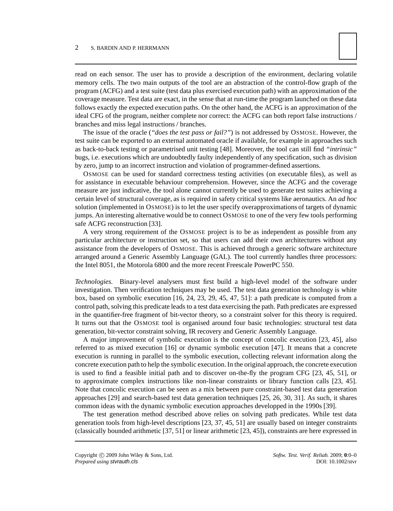read on each sensor. The user has to provide a description of the environment, declaring volatile memory cells. The two main outputs of the tool are an abstraction of the control-flow graph of the program (ACFG) and a test suite (test data plus exercised execution path) with an approximation of the coverage measure. Test data are exact, in the sense that at run-time the program launched on these data follows exactly the expected execution paths. On the other hand, the ACFG is an approximation of the ideal CFG of the program, neither complete nor correct: the ACFG can both report false instructions / branches and miss legal instructions / branches.

The issue of the oracle (*"does the test pass or fail?"*) is not addressed by OSMOSE. However, the test suite can be exported to an external automated oracle if available, for example in approaches such as back-to-back testing or parametrised unit testing [48]. Moreover, the tool can still find *"intrinsic"* bugs, i.e. executions which are undoubtedly faulty independently of any specification, such as division by zero, jump to an incorrect instruction and violation of programmer-defined assertions.

OSMOSE can be used for standard correctness testing activities (on executable files), as well as for assistance in executable behaviour comprehension. However, since the ACFG and the coverage measure are just indicative, the tool alone cannot currently be used to generate test suites achieving a certain level of structural coverage, as is required in safety critical systems like aeronautics. An *ad hoc* solution (implemented in OSMOSE) is to let the user specify overapproximations of targets of dynamic jumps. An interesting alternative would be to connect OSMOSE to one of the very few tools performing safe ACFG reconstruction [33].

A very strong requirement of the OSMOSE project is to be as independent as possible from any particular architecture or instruction set, so that users can add their own architectures without any assistance from the developers of OSMOSE. This is achieved through a generic software architecture arranged around a Generic Assembly Language (GAL). The tool currently handles three processors: the Intel 8051, the Motorola 6800 and the more recent Freescale PowerPC 550.

*Technologies.* Binary-level analysers must first build a high-level model of the software under investigation. Then verification techniques may be used. The test data generation technology is white box, based on symbolic execution [16, 24, 23, 29, 45, 47, 51]: a path predicate is computed from a control path, solving this predicate leads to a test data exercising the path. Path predicates are expressed in the quantifier-free fragment of bit-vector theory, so a constraint solver for this theory is required. It turns out that the OSMOSE tool is organised around four basic technologies: structural test data generation, bit-vector constraint solving, IR recovery and Generic Assembly Language.

A major improvement of symbolic execution is the concept of concolic execution [23, 45], also referred to as mixed execution [16] or dynamic symbolic execution [47]. It means that a concrete execution is running in parallel to the symbolic execution, collecting relevant information along the concrete execution path to help the symbolic execution. In the original approach, the concrete execution is used to find a feasible initial path and to discover on-the-fly the program CFG [23, 45, 51], or to approximate complex instructions like non-linear constraints or library function calls [23, 45]. Note that concolic execution can be seen as a mix between pure constraint-based test data generation approaches [29] and search-based test data generation techniques [25, 26, 30, 31]. As such, it shares common ideas with the dynamic symbolic execution approaches developped in the 1990s [39].

The test generation method described above relies on solving path predicates. While test data generation tools from high-level descriptions [23, 37, 45, 51] are usually based on integer constraints (classically bounded arithmetic [37, 51] or linear arithmetic [23, 45]), constraints are here expressed in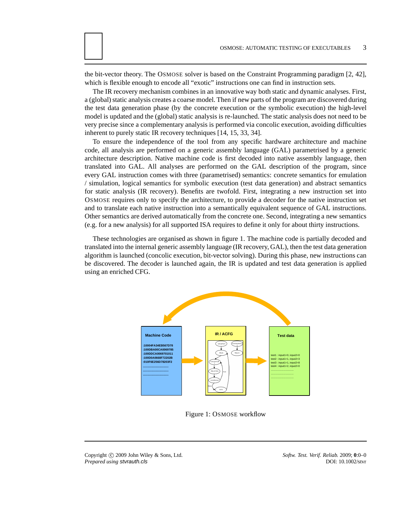the bit-vector theory. The OSMOSE solver is based on the Constraint Programming paradigm [2, 42], which is flexible enough to encode all "exotic" instructions one can find in instruction sets.

The IR recovery mechanism combines in an innovative way both static and dynamic analyses. First, a (global) static analysis creates a coarse model. Then if new parts of the program are discovered during the test data generation phase (by the concrete execution or the symbolic execution) the high-level model is updated and the (global) static analysis is re-launched. The static analysis does not need to be very precise since a complementary analysis is performed via concolic execution, avoiding difficulties inherent to purely static IR recovery techniques [14, 15, 33, 34].

To ensure the independence of the tool from any specific hardware architecture and machine code, all analysis are performed on a generic assembly language (GAL) parametrised by a generic architecture description. Native machine code is first decoded into native assembly language, then translated into GAL. All analyses are performed on the GAL description of the program, since every GAL instruction comes with three (parametrised) semantics: concrete semantics for emulation / simulation, logical semantics for symbolic execution (test data generation) and abstract semantics for static analysis (IR recovery). Benefits are twofold. First, integrating a new instruction set into OSMOSE requires only to specify the architecture, to provide a decoder for the native instruction set and to translate each native instruction into a semantically equivalent sequence of GAL instructions. Other semantics are derived automatically from the concrete one. Second, integrating a new semantics (e.g. for a new analysis) for all supported ISA requires to define it only for about thirty instructions.

These technologies are organised as shown in figure 1. The machine code is partially decoded and translated into the internal generic assembly language (IR recovery, GAL), then the test data generation algorithm is launched (concolic execution, bit-vector solving). During this phase, new instructions can be discovered. The decoder is launched again, the IR is updated and test data generation is applied using an enriched CFG.



Figure 1: OSMOSE workflow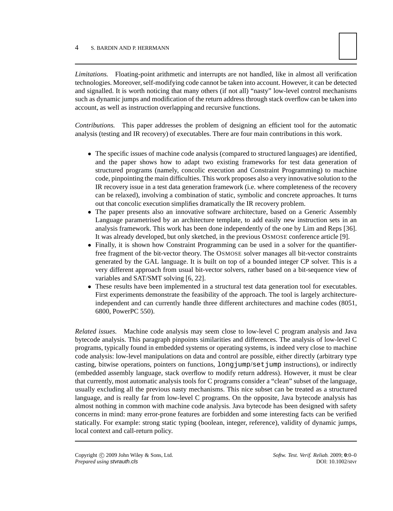

*Limitations.* Floating-point arithmetic and interrupts are not handled, like in almost all verification technologies. Moreover, self-modifying code cannot be taken into account. However, it can be detected and signalled. It is worth noticing that many others (if not all) "nasty" low-level control mechanisms such as dynamic jumps and modification of the return address through stack overflow can be taken into account, as well as instruction overlapping and recursive functions.

*Contributions.* This paper addresses the problem of designing an efficient tool for the automatic analysis (testing and IR recovery) of executables. There are four main contributions in this work.

- The specific issues of machine code analysis (compared to structured languages) are identified, and the paper shows how to adapt two existing frameworks for test data generation of structured programs (namely, concolic execution and Constraint Programming) to machine code, pinpointing the main difficulties. This work proposes also a very innovative solution to the IR recovery issue in a test data generation framework (i.e. where completeness of the recovery can be relaxed), involving a combination of static, symbolic and concrete approaches. It turns out that concolic execution simplifies dramatically the IR recovery problem.
- The paper presents also an innovative software architecture, based on a Generic Assembly Language parametrised by an architecture template, to add easily new instruction sets in an analysis framework. This work has been done independently of the one by Lim and Reps [36]. It was already developed, but only sketched, in the previous OSMOSE conference article [9].
- Finally, it is shown how Constraint Programming can be used in a solver for the quantifierfree fragment of the bit-vector theory. The OSMOSE solver manages all bit-vector constraints generated by the GAL language. It is built on top of a bounded integer CP solver. This is a very different approach from usual bit-vector solvers, rather based on a bit-sequence view of variables and SAT/SMT solving [6, 22].
- These results have been implemented in a structural test data generation tool for executables. First experiments demonstrate the feasibility of the approach. The tool is largely architectureindependent and can currently handle three different architectures and machine codes (8051, 6800, PowerPC 550).

*Related issues.* Machine code analysis may seem close to low-level C program analysis and Java bytecode analysis. This paragraph pinpoints similarities and differences. The analysis of low-level C programs, typically found in embedded systems or operating systems, is indeed very close to machine code analysis: low-level manipulations on data and control are possible, either directly (arbitrary type casting, bitwise operations, pointers on functions, longjump/setjump instructions), or indirectly (embedded assembly language, stack overflow to modify return address). However, it must be clear that currently, most automatic analysis tools for C programs consider a "clean" subset of the language, usually excluding all the previous nasty mechanisms. This nice subset can be treated as a structured language, and is really far from low-level C programs. On the opposite, Java bytecode analysis has almost nothing in common with machine code analysis. Java bytecode has been designed with safety concerns in mind: many error-prone features are forbidden and some interesting facts can be verified statically. For example: strong static typing (boolean, integer, reference), validity of dynamic jumps, local context and call-return policy.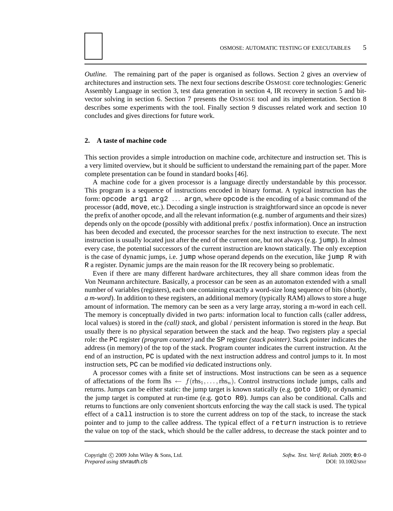*Outline.* The remaining part of the paper is organised as follows. Section 2 gives an overview of architectures and instruction sets. The next four sections describe OSMOSE core technologies: Generic Assembly Language in section 3, test data generation in section 4, IR recovery in section 5 and bitvector solving in section 6. Section 7 presents the OSMOSE tool and its implementation. Section 8 describes some experiments with the tool. Finally section 9 discusses related work and section 10 concludes and gives directions for future work.

#### **2. A taste of machine code**

This section provides a simple introduction on machine code, architecture and instruction set. This is a very limited overview, but it should be sufficient to understand the remaining part of the paper. More complete presentation can be found in standard books [46].

A machine code for a given processor is a language directly understandable by this processor. This program is a sequence of instructions encoded in binary format. A typical instruction has the form: opcode arg1 arg2 . . . argn, where opcode is the encoding of a basic command of the processor (add, move, etc.). Decoding a single instruction is straightforward since an opcode is never the prefix of another opcode, and all the relevant information (e.g. number of arguments and their sizes) depends only on the opcode (possibly with additional prefix / postfix information). Once an instruction has been decoded and executed, the processor searches for the next instruction to execute. The next instruction is usually located just after the end of the current one, but not always (e.g. jump). In almost every case, the potential successors of the current instruction are known statically. The only exception is the case of dynamic jumps, i.e. jump whose operand depends on the execution, like jump R with R a register. Dynamic jumps are the main reason for the IR recovery being so problematic.

Even if there are many different hardware architectures, they all share common ideas from the Von Neumann architecture. Basically, a processor can be seen as an automaton extended with a small number of variables (registers), each one containing exactly a word-size long sequence of bits (shortly, *a m-word*). In addition to these registers, an additional memory (typically RAM) allows to store a huge amount of information. The memory can be seen as a very large array, storing a m-word in each cell. The memory is conceptually divided in two parts: information local to function calls (caller address, local values) is stored in the *(call) stack*, and global / persistent information is stored in the *heap*. But usually there is no physical separation between the stack and the heap. Two registers play a special role: the PC register *(program counter)* and the SP register *(stack pointer)*. Stack pointer indicates the address (in memory) of the top of the stack. Program counter indicates the current instruction. At the end of an instruction, PC is updated with the next instruction address and control jumps to it. In most instruction sets, PC can be modified *via* dedicated instructions only.

A processor comes with a finite set of instructions. Most instructions can be seen as a sequence of affectations of the form lhs  $\leftarrow f(rbs_1, \ldots, rbs_n)$ . Control instructions include jumps, calls and returns. Jumps can be either static: the jump target is known statically (e.g. goto 100); or dynamic: the jump target is computed at run-time (e.g. goto R0). Jumps can also be conditional. Calls and returns to functions are only convenient shortcuts enforcing the way the call stack is used. The typical effect of a call instruction is to store the current address on top of the stack, to increase the stack pointer and to jump to the callee address. The typical effect of a return instruction is to retrieve the value on top of the stack, which should be the caller address, to decrease the stack pointer and to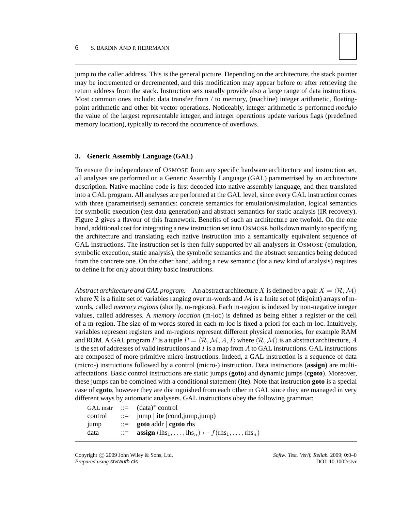

jump to the caller address. This is the general picture. Depending on the architecture, the stack pointer may be incremented or decremented, and this modification may appear before or after retrieving the return address from the stack. Instruction sets usually provide also a large range of data instructions. Most common ones include: data transfer from / to memory, (machine) integer arithmetic, floatingpoint arithmetic and other bit-vector operations. Noticeably, integer arithmetic is performed *modulo* the value of the largest representable integer, and integer operations update various flags (predefined memory location), typically to record the occurrence of overflows.

#### **3. Generic Assembly Language (GAL)**

To ensure the independence of OSMOSE from any specific hardware architecture and instruction set, all analyses are performed on a Generic Assembly Language (GAL) parametrised by an architecture description. Native machine code is first decoded into native assembly language, and then translated into a GAL program. All analyses are performed at the GAL level, since every GAL instruction comes with three (parametrised) semantics: concrete semantics for emulation/simulation, logical semantics for symbolic execution (test data generation) and abstract semantics for static analysis (IR recovery). Figure 2 gives a flavour of this framework. Benefits of such an architecture are twofold. On the one hand, additional cost for integrating a new instruction set into OSMOSE boils down mainly to specifying the architecture and translating each native instruction into a semantically equivalent sequence of GAL instructions. The instruction set is then fully supported by all analysers in OSMOSE (emulation, symbolic execution, static analysis), the symbolic semantics and the abstract semantics being deduced from the concrete one. On the other hand, adding a new semantic (for a new kind of analysis) requires to define it for only about thirty basic instructions.

*Abstract architecture and GAL program.* An abstract architecture X is defined by a pair  $X = \langle \mathcal{R}, \mathcal{M} \rangle$ where  $R$  is a finite set of variables ranging over m-words and  $M$  is a finite set of (disjoint) arrays of mwords, called *memory regions* (shortly, m-regions). Each m-region is indexed by non-negative integer values, called addresses. A *memory location* (m-loc) is defined as being either a register or the cell of a m-region. The size of m-words stored in each m-loc is fixed a priori for each m-loc. Intuitively, variables represent registers and m-regions represent different physical memories, for example RAM and ROM. A GAL program P is a tuple  $P = \langle R, M, A, I \rangle$  where  $\langle R, M \rangle$  is an abstract architecture, A is the set of addresses of valid instructions and  $I$  is a map from  $A$  to GAL instructions. GAL instructions are composed of more primitive micro-instructions. Indeed, a GAL instruction is a sequence of data (micro-) instructions followed by a control (micro-) instruction. Data instructions (**assign**) are multiaffectations. Basic control instructions are static jumps (**goto**) and dynamic jumps (**cgoto**). Moreover, these jumps can be combined with a conditional statement (**ite**). Note that instruction **goto** is a special case of **cgoto**, however they are distinguished from each other in GAL since they are managed in very different ways by automatic analysers. GAL instructions obey the following grammar:

|         | GAL instr $ ::=$ $(data)^*$ control                                                                                            |
|---------|--------------------------------------------------------------------------------------------------------------------------------|
| control | $\equiv$ jump   ite (cond, jump, jump)                                                                                         |
| jump    | $\therefore$ goto addr   cgoto rhs                                                                                             |
| data    | $\mathbf{u} := \mathbf{assign}(\mathbf{h} s_1, \dots, \mathbf{h} s_n) \leftarrow f(\mathbf{r} h s_1, \dots, \mathbf{r} h s_n)$ |

Copyright © 2009 John Wiley & Sons, Ltd. *Softw. Test. Verif. Reliab.* 2009; 0:0–0 *Prepared using* stvrauth.cls DOI: 10.1002/stvr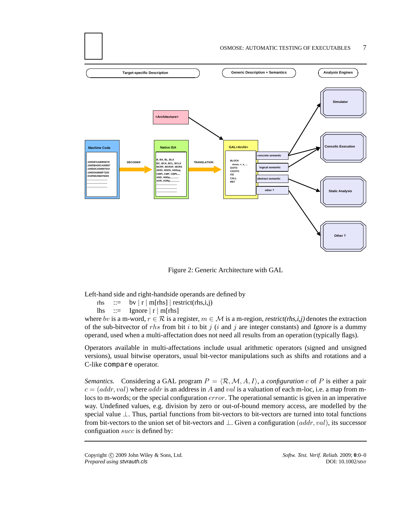

Figure 2: Generic Architecture with GAL

Left-hand side and right-handside operands are defined by

rhs  $::=$  bv | r | m[rhs] | restrict(rhs,i,j) lhs  $\therefore$  Ignore | r | m[rhs]

where bv is a m-word,  $r \in \mathcal{R}$  is a register,  $m \in \mathcal{M}$  is a m-region, restrict(rhs,i,j) denotes the extraction of the sub-bitvector of rhs from bit i to bit j (i and j are integer constants) and Ignore is a dummy operand, used when a multi-affectation does not need all results from an operation (typically flags).

Operators available in multi-affectations include usual arithmetic operators (signed and unsigned versions), usual bitwise operators, usual bit-vector manipulations such as shifts and rotations and a C-like compare operator.

*Semantics.* Considering a GAL program  $P = \langle \mathcal{R}, \mathcal{M}, A, I \rangle$ , a *configuration* c of P is either a pair  $c = (addr, val)$  where addr is an address in A and val is a valuation of each m-loc, i.e. a map from mlocs to m-words; or the special configuration *error*. The operational semantic is given in an imperative way. Undefined values, e.g. division by zero or out-of-bound memory access, are modelled by the special value ⊥. Thus, partial functions from bit-vectors to bit-vectors are turned into total functions from bit-vectors to the union set of bit-vectors and  $\bot$ . Given a configuration (addr, val), its successor configuation succ is defined by: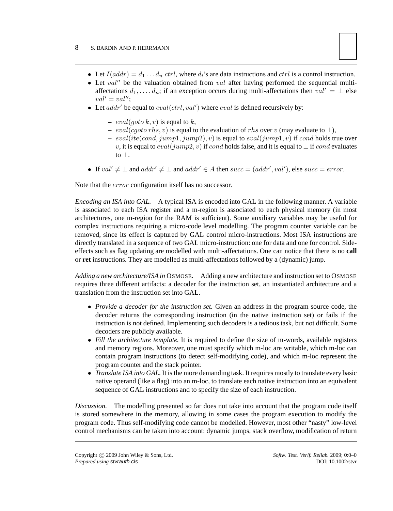- Let  $I(addr) = d_1 \dots d_n$  ctrl, where  $d_i$ 's are data instructions and ctrl is a control instruction.
- Let  $val''$  be the valuation obtained from val after having performed the sequential multiaffectations  $d_1, \ldots, d_n$ ; if an exception occurs during multi-affectations then  $val' = \perp$  else  $val' = val''$ ;
- Let  $addr'$  be equal to  $eval(ctrl, val')$  where  $eval$  is defined recursively by:
	- $-$  *eval*(*goto*  $k, v$ ) is equal to  $k$ ,
	- $\overline{P}$  = eval(cgoto rhs, v) is equal to the evaluation of rhs over v (may evaluate to ⊥),
	- $-eval(ite(cond, jump1, jump2), v)$  is equal to  $eval(jump1, v)$  if cond holds true over v, it is equal to  $eval(jump2, v)$  if cond holds false, and it is equal to  $\perp$  if cond evaluates to ⊥.
- If  $val' \neq \bot$  and  $addr' \neq \bot$  and  $addr' \in A$  then  $succ = (addr', val')$ , else  $succ = error$ .

Note that the error configuration itself has no successor.

*Encoding an ISA into GAL.* A typical ISA is encoded into GAL in the following manner. A variable is associated to each ISA register and a m-region is associated to each physical memory (in most architectures, one m-region for the RAM is sufficient). Some auxiliary variables may be useful for complex instructions requiring a micro-code level modelling. The program counter variable can be removed, since its effect is captured by GAL control micro-instructions. Most ISA instructions are directly translated in a sequence of two GAL micro-instruction: one for data and one for control. Sideeffects such as flag updating are modelled with multi-affectations. One can notice that there is no **call** or **ret** instructions. They are modelled as multi-affectations followed by a (dynamic) jump.

*Adding a new architecture/ISA in* OSMOSE*.* Adding a new architecture and instruction set to OSMOSE requires three different artifacts: a decoder for the instruction set, an instantiated architecture and a translation from the instruction set into GAL.

- *Provide a decoder for the instruction set.* Given an address in the program source code, the decoder returns the corresponding instruction (in the native instruction set) or fails if the instruction is not defined. Implementing such decoders is a tedious task, but not difficult. Some decoders are publicly available.
- *Fill the architecture template.* It is required to define the size of m-words, available registers and memory regions. Moreover, one must specify which m-loc are writable, which m-loc can contain program instructions (to detect self-modifying code), and which m-loc represent the program counter and the stack pointer.
- *Translate ISA into GAL*. It is the more demanding task. It requires mostly to translate every basic native operand (like a flag) into an m-loc, to translate each native instruction into an equivalent sequence of GAL instructions and to specify the size of each instruction.

*Discussion.* The modelling presented so far does not take into account that the program code itself is stored somewhere in the memory, allowing in some cases the program execution to modify the program code. Thus self-modifying code cannot be modelled. However, most other "nasty" low-level control mechanisms can be taken into account: dynamic jumps, stack overflow, modification of return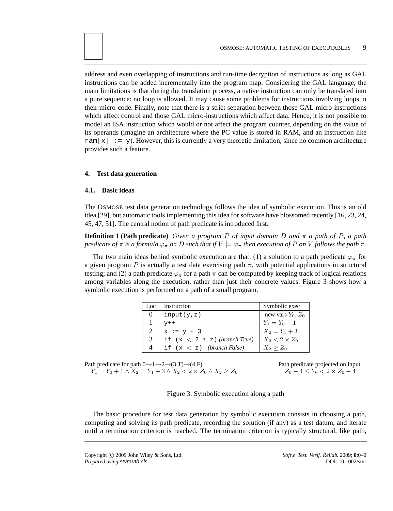address and even overlapping of instructions and run-time decryption of instructions as long as GAL instructions can be added incrementally into the program map. Considering the GAL language, the main limitations is that during the translation process, a native instruction can only be translated into a pure sequence: no loop is allowed. It may cause some problems for instructions involving loops in their micro-code. Finally, note that there is a strict separation between those GAL micro-instructions which affect control and those GAL micro-instructions which affect data. Hence, it is not possible to model an ISA instruction which would or not affect the program counter, depending on the value of its operands (imagine an architecture where the PC value is stored in RAM, and an instruction like ram $[x]$ : = y). However, this is currently a very theoretic limitation, since no common architecture provides such a feature.

#### **4. Test data generation**

#### **4.1. Basic ideas**

The OSMOSE test data generation technology follows the idea of symbolic execution. This is an old idea [29], but automatic tools implementing this idea for software have blossomed recently [16, 23, 24, 45, 47, 51]. The central notion of path predicate is introduced first.

**Definition 1 (Path predicate)** *Given a program P of input domain D and*  $\pi$  *a path of P*, *a path predicate of*  $\pi$  *is a formula*  $\varphi_{\pi}$  *on* D *such that if*  $V \models \varphi_{\pi}$  *then execution of* P *on* V *follows the path*  $\pi$ *.* 

The two main ideas behind symbolic execution are that: (1) a solution to a path predicate  $\varphi_{\pi}$  for a given program P is actually a test data exercising path  $\pi$ , with potential applications in structural testing; and (2) a path predicate  $\varphi_{\pi}$  for a path  $\pi$  can be computed by keeping track of logical relations among variables along the execution, rather than just their concrete values. Figure 3 shows how a symbolic execution is performed on a path of a small program.

| Loc          | Instruction                    | Symbolic exec                                                |
|--------------|--------------------------------|--------------------------------------------------------------|
| $\mathbf{0}$ | input(y, z)                    | new vars $Y_0$ , $Z_0$<br>$Y_1 = Y_0 + 1$<br>$X_2 = Y_1 + 3$ |
|              | $V++$                          |                                                              |
| $2^{\circ}$  | $x := y + 3$                   |                                                              |
| 3            | if $(x < 2 * z)$ (branch True) | $X_2 < 2 \times Z_0$                                         |
|              | if $(x < z)$ (branch False)    | $X_2 > Z_0$                                                  |

Path predicate for path  $0 \rightarrow 1 \rightarrow 2 \rightarrow (3, T) \rightarrow (4, F)$  Path predicate projected on input  $Y_1 = Y_0 + 1 \wedge X_2 = Y_1 + 3 \wedge X_2 < 2 \times Z_0 \wedge X_2 \ge Z_0$   $Z_0 - 4 \le Y_0 < 2 \times Z_0 - 4$ 

Figure 3: Symbolic execution along a path

The basic procedure for test data generation by symbolic execution consists in choosing a path, computing and solving its path predicate, recording the solution (if any) as a test datum, and iterate until a termination criterion is reached. The termination criterion is typically structural, like path,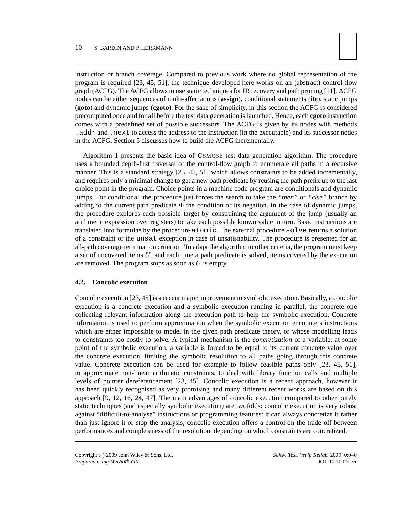

instruction or branch coverage. Compared to previous work where no global representation of the program is required [23, 45, 51], the technique developed here works on an (abstract) control-flow graph (ACFG). The ACFG allows to use static techniques for IR recovery and path pruning [11]. ACFG nodes can be either sequences of multi-affectations (**assign**), conditional statements (**ite**), static jumps (**goto**) and dynamic jumps (**cgoto**). For the sake of simplicity, in this section the ACFG is considered precomputed once and for all before the test data generation is launched. Hence, each **cgoto** instruction comes with a predefined set of possible successors. The ACFG is given by its nodes with methods .addr and .next to access the address of the instruction (in the executable) and its successor nodes in the ACFG. Section 5 discusses how to build the ACFG incrementally.

Algorithm 1 presents the basic idea of OSMOSE test data generation algorithm. The procedure uses a bounded depth-first traversal of the control-flow graph to enumerate all paths in a recursive manner. This is a standard strategy [23, 45, 51] which allows constraints to be added incrementally, and requires only a minimal change to get a new path predicate by reusing the path prefix up to the last choice point in the program. Choice points in a machine code program are conditionals and dynamic jumps. For conditional, the procedure just forces the search to take the *"then"* or *"else"* branch by adding to the current path predicate  $\Phi$  the condition or its negation. In the case of dynamic jumps, the procedure explores each possible target by constraining the argument of the jump (usually an arithmetic expression over registers) to take each possible known value in turn. Basic instructions are translated into formulae by the procedure atomic. The external procedure solve returns a solution of a constraint or the unsat exception in case of unsatisfiability. The procedure is presented for an all-path coverage termination criterion. To adapt the algorithm to other criteria, the program must keep a set of uncovered items  $U$ , and each time a path predicate is solved, items covered by the execution are removed. The program stops as soon as  $U$  is empty.

# **4.2. Concolic execution**

Concolic execution [23, 45] is a recent major improvement to symbolic execution. Basically, a concolic execution is a concrete execution and a symbolic execution running in parallel, the concrete one collecting relevant information along the execution path to help the symbolic execution. Concrete information is used to perform approximation when the symbolic execution encounters instructions which are either impossible to model in the given path predicate theory, or whose modelling leads to constraints too costly to solve. A typical mechanism is the *concretization* of a variable: at some point of the symbolic execution, a variable is forced to be equal to its current concrete value over the concrete execution, limiting the symbolic resolution to all paths going through this concrete value. Concrete execution can be used for example to follow feasible paths only [23, 45, 51], to approximate non-linear arithmetic constraints, to deal with library function calls and multiple levels of pointer dereferencement [23, 45]. Concolic execution is a recent approach, however it has been quickly recognised as very promising and many different recent works are based on this approach [9, 12, 16, 24, 47]. The main advantages of concolic execution compared to other purely static techniques (and especially symbolic execution) are twofolds: concolic execution is very robust against "difficult-to-analyse" instructions or programming features: it can always concretize it rather than just ignore it or stop the analysis; concolic execution offers a control on the trade-off between performances and completeness of the resolution, depending on which constraints are concretized.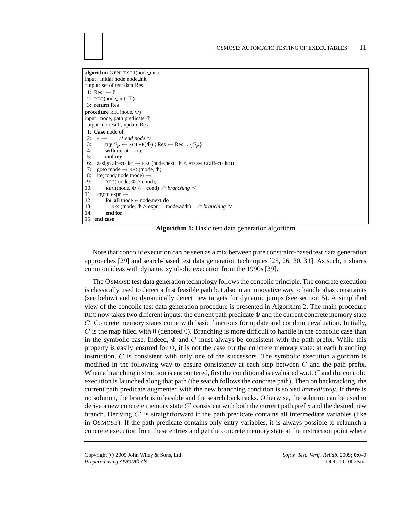**algorithm** GENTEST1(node init) input : initial node node init output: set of test data Res 1: Res  $\leftarrow \emptyset$ 2: REC(node\_init, ⊤) 3: **return** Res **procedure** REC(node, Φ) input : node, path predicate Φ output: no result, update Res 1: **Case** node of<br>2:  $|\varepsilon \rightarrow \rangle^*$ 2:  $\left| \varepsilon \rightarrow \right|$  /\* end node \*/<br>3: **try**  $S_n \leftarrow$  SOLVF( $\Phi$ ) 3: **try**  $S_p \leftarrow \text{SOLVE}(\Phi)$ ; Res  $\leftarrow$  Res  $\cup$   $\{S_p\}$ <br>4: **with** unsat  $\rightarrow$  (): 4: **with** unsat  $\rightarrow$  ();<br>5: **end try** 5: **end try** 6: | assign affect-list  $\rightarrow$  REC(node.next,  $\Phi \land$  ATOMIC(affect-list)) 7: | goto tnode  $\rightarrow$  REC(tnode,  $\Phi$ ) 8:  $|\text{ite}(\text{cond}, \text{inode}, \text{mode}) \rightarrow$ <br>9: REC(inode,  $\Phi \wedge \text{cone}$ 9: REC(inode,  $\Phi \wedge \text{cond}$ );<br>10: REC(tnode,  $\Phi \wedge \neg \text{cond}$ ) 10: REC(tnode, Φ ∧ ¬cond) */\* branching \*/* 11:  $\vert$  cgoto expr  $\rightarrow$ <br>12: **for all** tno 12: **for all** tnode  $\in$  node.next **do**<br>13: **REC(tnode**  $\Phi \wedge \text{expr} = \text{tn}$ **)** 13: REC(tnode,  $\Phi \wedge \text{expr} = \text{tnode.addr}$ ) /\* *branching* \*/<br>14. **end for** end for 15: **end case**

**Algorithm 1:** Basic test data generation algorithm

Note that concolic execution can be seen as a mix between pure constraint-based test data generation approaches [29] and search-based test data generation techniques [25, 26, 30, 31]. As such, it shares common ideas with dynamic symbolic execution from the 1990s [39].

The OSMOSE test data generation technology follows the concolic principle. The concrete execution is classically used to detect a first feasible path but also in an innovative way to handle alias constraints (see below) and to dynamically detect new targets for dynamic jumps (see section 5). A simplified view of the concolic test data generation procedure is presented in Algorithm 2. The main procedure REC now takes two different inputs: the current path predicate  $\Phi$  and the current concrete memory state C. Concrete memory states come with basic functions for update and condition evaluation. Initially,  $C$  is the map filled with 0 (denoted 0). Branching is more difficult to handle in the concolic case than in the symbolic case. Indeed,  $\Phi$  and C must always be consistent with the path prefix. While this property is easily ensured for  $\Phi$ , it is not the case for the concrete memory state: at each branching instruction,  $C$  is consistent with only one of the successors. The symbolic execution algorithm is modified in the following way to ensure consistency at each step between  $C$  and the path prefix. When a branching instruction is encountered, first the conditional is evaluated w.r.t. C and the concolic execution is launched along that path (the search follows the concrete path). Then on backtracking, the current path predicate augmented with the new branching condition is solved *immediately*. If there is no solution, the branch is infeasible and the search backtracks. Otherwise, the solution can be used to derive a new concrete memory state  $C'$  consistent with both the current path prefix and the desired new branch. Deriving C' is straightforward if the path predicate contains all intermediate variables (like in OSMOSE). If the path predicate contains only entry variables, it is always possible to relaunch a concrete execution from these entries and get the concrete memory state at the instruction point where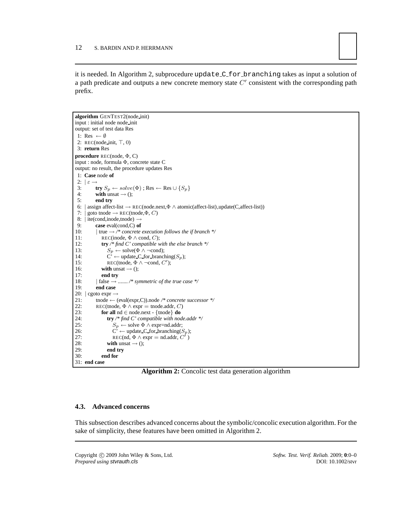

it is needed. In Algorithm 2, subprocedure update C for branching takes as input a solution of a path predicate and outputs a new concrete memory state  $C'$  consistent with the corresponding path prefix.

```
algorithm GENTEST2(node init)
input : initial node node init
output: set of test data Res
 1: Res \leftarrow \emptyset2: REC(node_init, ⊤, 0)
 3: return Res
procedure REC(node, Φ, C)
input : node, formula Φ, concrete state C
output: no result, the procedure updates Res
 1: Case node of
 2: |\varepsilon \rightarrow<br>3:
 3: try S_p \leftarrow solve(\Phi); Res ← Res \cup \{S_p\}<br>4: with unsat → ():
 4: with unsat \rightarrow ();<br>5: end try
               5: end try
 6: | assign affect-list \rightarrow REC(node.next,\Phi \land atomic(affect-list),update(C,affect-list))
 7: \vert goto tnode \rightarrow REC(tnode, \Phi, C)
 8: |\text{ite}(\text{cond}, \text{inode}, \text{mode}) \rightarrow<br>9: case eval(cond C) of
9: case eval(cond,C) of<br>10: |\text{true} \rightarrow /* concrete
10: |\text{true} \rightarrow \text{/* concrete execution follows the if branch */}<br>11: \text{REC}(\text{node}, \Phi \land \text{cond}, C);11: REC(inode, \Phi \wedge \text{cond}, C);<br>12: try /* find C' compatible y
12: try /* find C' compatible with the else branch */<br>13: S_n \leftarrow \text{solve}(\Phi \land \neg \text{cond});
13: S_p \leftarrow \text{solve}(\Phi \land \neg \text{cond});<br>14: C' \leftarrow \text{update\_C\_for\_branch}14: C' ← update C_for_branching(S_p);<br>15: REC(tnode, \Phi \wedge \neg \text{cond}, C');
15: REC(tnode, \Phi \land \neg \text{cond}, C');
16: with unsat \rightarrow ();<br>17: end try
                   end try
18: | false \rightarrow ....... /* symmetric of the true case */<br>19: end case
               19: end case
20: \vert \text{cgoto expr} \rightarrow<br>21: thode \leftarrow (
21: tnode ← (eval(expr,C)).node /* concrete successor */<br>22: REC(tnode, \Phi \wedge \text{expr} = \text{tnode}.addr, C)
               REC(tnode, \Phi \wedge \text{expr} = \text{tnode}.addr, C)
23: for all nd \in node.next - {tnode} do<br>24: try /* find C' compatible with nod
24: try /* find C' compatible with node.addr */<br>25: S_n \leftarrow \text{solve } \Phi \land \text{expr} = \text{nd}. \text{addr};
25: S_p \leftarrow \text{solve } \Phi \land \text{expr} = \text{nd}.\text{addr};26: \ddot{\mathbf{C}} ← update C_for_branching(S_p);
27: REC(nd, \Phi \wedge \text{expr} = \text{nd.addr}, C<br>28: with unsat \rightarrow ():
                                                                                  )
28: with unsat \rightarrow ();<br>29: end try
29: end try
                   30: end for
31: end case
```
**Algorithm 2:** Concolic test data generation algorithm

#### **4.3. Advanced concerns**

This subsection describes advanced concerns about the symbolic/concolic execution algorithm. For the sake of simplicity, these features have been omitted in Algorithm 2.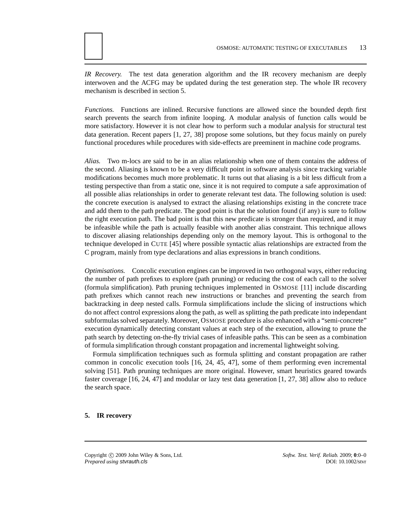*IR Recovery.* The test data generation algorithm and the IR recovery mechanism are deeply interwoven and the ACFG may be updated during the test generation step. The whole IR recovery mechanism is described in section 5.

*Functions.* Functions are inlined. Recursive functions are allowed since the bounded depth first search prevents the search from infinite looping. A modular analysis of function calls would be more satisfactory. However it is not clear how to perform such a modular analysis for structural test data generation. Recent papers [1, 27, 38] propose some solutions, but they focus mainly on purely functional procedures while procedures with side-effects are preeminent in machine code programs.

*Alias.* Two m-locs are said to be in an alias relationship when one of them contains the address of the second. Aliasing is known to be a very difficult point in software analysis since tracking variable modifications becomes much more problematic. It turns out that aliasing is a bit less difficult from a testing perspective than from a static one, since it is not required to compute a safe approximation of all possible alias relationships in order to generate relevant test data. The following solution is used: the concrete execution is analysed to extract the aliasing relationships existing in the concrete trace and add them to the path predicate. The good point is that the solution found (if any) is sure to follow the right execution path. The bad point is that this new predicate is stronger than required, and it may be infeasible while the path is actually feasible with another alias constraint. This technique allows to discover aliasing relationships depending only on the memory layout. This is orthogonal to the technique developed in CUTE [45] where possible syntactic alias relationships are extracted from the C program, mainly from type declarations and alias expressions in branch conditions.

*Optimisations.* Concolic execution engines can be improved in two orthogonal ways, either reducing the number of path prefixes to explore (path pruning) or reducing the cost of each call to the solver (formula simplification). Path pruning techniques implemented in OSMOSE [11] include discarding path prefixes which cannot reach new instructions or branches and preventing the search from backtracking in deep nested calls. Formula simplifications include the slicing of instructions which do not affect control expressions along the path, as well as splitting the path predicate into independant subformulas solved separately. Moreover, OSMOSE procedure is also enhanced with a "semi-concrete" execution dynamically detecting constant values at each step of the execution, allowing to prune the path search by detecting on-the-fly trivial cases of infeasible paths. This can be seen as a combination of formula simplification through constant propagation and incremental lightweight solving.

Formula simplification techniques such as formula splitting and constant propagation are rather common in concolic execution tools [16, 24, 45, 47], some of them performing even incremental solving [51]. Path pruning techniques are more original. However, smart heuristics geared towards faster coverage [16, 24, 47] and modular or lazy test data generation [1, 27, 38] allow also to reduce the search space.

# **5. IR recovery**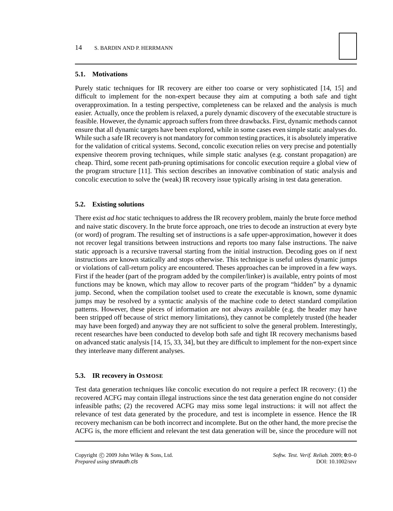# **5.1. Motivations**

Purely static techniques for IR recovery are either too coarse or very sophisticated [14, 15] and difficult to implement for the non-expert because they aim at computing a both safe and tight overapproximation. In a testing perspective, completeness can be relaxed and the analysis is much easier. Actually, once the problem is relaxed, a purely dynamic discovery of the executable structure is feasible. However, the dynamic approach suffers from three drawbacks. First, dynamic methods cannot ensure that all dynamic targets have been explored, while in some cases even simple static analyses do. While such a safe IR recovery is not mandatory for common testing practices, it is absolutely imperative for the validation of critical systems. Second, concolic execution relies on very precise and potentially expensive theorem proving techniques, while simple static analyses (e.g. constant propagation) are cheap. Third, some recent path-pruning optimisations for concolic execution require a global view of the program structure [11]. This section describes an innovative combination of static analysis and concolic execution to solve the (weak) IR recovery issue typically arising in test data generation.

## **5.2. Existing solutions**

There exist *ad hoc* static techniques to address the IR recovery problem, mainly the brute force method and naive static discovery. In the brute force approach, one tries to decode an instruction at every byte (or word) of program. The resulting set of instructions is a safe upper-approximation, however it does not recover legal transitions between instructions and reports too many false instructions. The naive static approach is a recursive traversal starting from the initial instruction. Decoding goes on if next instructions are known statically and stops otherwise. This technique is useful unless dynamic jumps or violations of call-return policy are encountered. Theses approaches can be improved in a few ways. First if the header (part of the program added by the compiler/linker) is available, entry points of most functions may be known, which may allow to recover parts of the program "hidden" by a dynamic jump. Second, when the compilation toolset used to create the executable is known, some dynamic jumps may be resolved by a syntactic analysis of the machine code to detect standard compilation patterns. However, these pieces of information are not always available (e.g. the header may have been stripped off because of strict memory limitations), they cannot be completely trusted (the header may have been forged) and anyway they are not sufficient to solve the general problem. Interestingly, recent researches have been conducted to develop both safe and tight IR recovery mechanisms based on advanced static analysis [14, 15, 33, 34], but they are difficult to implement for the non-expert since they interleave many different analyses.

# **5.3. IR recovery in OSMOSE**

Test data generation techniques like concolic execution do not require a perfect IR recovery: (1) the recovered ACFG may contain illegal instructions since the test data generation engine do not consider infeasible paths; (2) the recovered ACFG may miss some legal instructions: it will not affect the relevance of test data generated by the procedure, and test is incomplete in essence. Hence the IR recovery mechanism can be both incorrect and incomplete. But on the other hand, the more precise the ACFG is, the more efficient and relevant the test data generation will be, since the procedure will not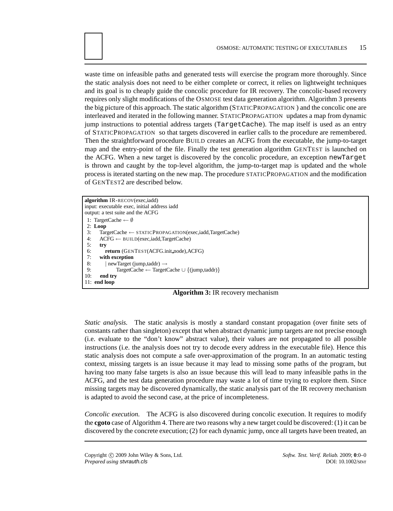waste time on infeasible paths and generated tests will exercise the program more thoroughly. Since the static analysis does not need to be either complete or correct, it relies on lightweight techniques and its goal is to cheaply guide the concolic procedure for IR recovery. The concolic-based recovery requires only slight modifications of the OSMOSE test data generation algorithm. Algorithm 3 presents the big picture of this approach. The static algorithm (STATICPROPAGATION ) and the concolic one are interleaved and iterated in the following manner. STATICPROPAGATION updates a map from dynamic jump instructions to potential address targets (TargetCache). The map itself is used as an entry of STATICPROPAGATION so that targets discovered in earlier calls to the procedure are remembered. Then the straightforward procedure BUILD creates an ACFG from the executable, the jump-to-target map and the entry-point of the file. Finally the test generation algorithm GENTEST is launched on the ACFG. When a new target is discovered by the concolic procedure, an exception newTarget is thrown and caught by the top-level algorithm, the jump-to-target map is updated and the whole process is iterated starting on the new map. The procedure STATICPROPAGATION and the modification of GENTEST2 are described below.

```
algorithm IR-RECOV(exec,iadd)
input: executable exec, initial address iadd
output: a test suite and the ACFG
 1: TargetCache ← ∅
 2: Loop
 3: TargetCache ← STATICPROPAGATION(exec,iadd,TargetCache)<br>4: \text{ACFG} \leftarrow \text{BULD}(\text{exec}, \text{iadd}, \text{TargetCache})4: ACFG \leftarrow BULD(exec, iadd, TargetCache)<br>5: trv
       5: try
 6: return (GENTEST(ACFG.init node),ACFG)
 7: with exception
 8: | newTarget (jump,taddr) →
9: TargetCache ← TargetCache ∪ {(jump,taddr)}<br>10: end trv
       end try
11: end loop
```
**Algorithm 3:** IR recovery mechanism

*Static analysis.* The static analysis is mostly a standard constant propagation (over finite sets of constants rather than singleton) except that when abstract dynamic jump targets are not precise enough (i.e. evaluate to the "don't know" abstract value), their values are not propagated to all possible instructions (i.e. the analysis does not try to decode every address in the executable file). Hence this static analysis does not compute a safe over-approximation of the program. In an automatic testing context, missing targets is an issue because it may lead to missing some paths of the program, but having too many false targets is also an issue because this will lead to many infeasible paths in the ACFG, and the test data generation procedure may waste a lot of time trying to explore them. Since missing targets may be discovered dynamically, the static analysis part of the IR recovery mechanism is adapted to avoid the second case, at the price of incompleteness.

*Concolic execution.* The ACFG is also discovered during concolic execution. It requires to modify the **cgoto** case of Algorithm 4. There are two reasons why a new target could be discovered: (1) it can be discovered by the concrete execution; (2) for each dynamic jump, once all targets have been treated, an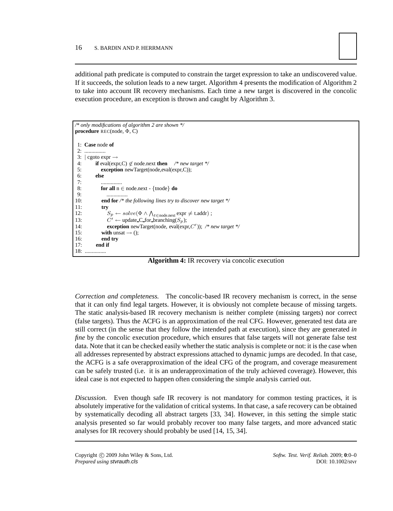

additional path predicate is computed to constrain the target expression to take an undiscovered value. If it succeeds, the solution leads to a new target. Algorithm 4 presents the modification of Algorithm 2 to take into account IR recovery mechanisms. Each time a new target is discovered in the concolic execution procedure, an exception is thrown and caught by Algorithm 3.

```
/* only modifications of algorithm 2 are shown */
procedure REC(node, Φ, C)
 1: Case node of
 2: ...............
 3: \vert cgoto expr \rightarrow<br>4. if eval(exp
 4: if eval(expr,C) \not\in node.next then /* new target */<br>5: exception new Target(node.eval(expr.C)):
              exception newTarget(node,eval(expr,C));
 6: else
  7: .................
 8: for all n ∈ node.next - {tnode} do
9: ..............<br>10: end for /* i
               end for /* the following lines try to discover new target */
11: try
12: S_p \leftarrow solve(\Phi \wedge \bigwedge_{t \in \text{node.next}} \text{expr} \neq \text{t.addr});
13: C' \leftarrow \text{update\_C\_for\_branching}(S_p);<br>14: exception new Target(node, eval(exp
14: exception newTarget(node, eval(expr,C′
)); /* new target */
15: with unsat \rightarrow ();<br>16: end try
16: end try
            end if
18: ...............
```
**Algorithm 4:** IR recovery via concolic execution

*Correction and completeness.* The concolic-based IR recovery mechanism is correct, in the sense that it can only find legal targets. However, it is obviously not complete because of missing targets. The static analysis-based IR recovery mechanism is neither complete (missing targets) nor correct (false targets). Thus the ACFG is an approximation of the real CFG. However, generated test data are still correct (in the sense that they follow the intended path at execution), since they are generated *in fine* by the concolic execution procedure, which ensures that false targets will not generate false test data. Note that it can be checked easily whether the static analysis is complete or not: it is the case when all addresses represented by abstract expressions attached to dynamic jumps are decoded. In that case, the ACFG is a safe overapproximation of the ideal CFG of the program, and coverage measurement can be safely trusted (i.e. it is an underapproximation of the truly achieved coverage). However, this ideal case is not expected to happen often considering the simple analysis carried out.

*Discussion.* Even though safe IR recovery is not mandatory for common testing practices, it is absolutely imperative for the validation of critical systems. In that case, a safe recovery can be obtained by systematically decoding all abstract targets [33, 34]. However, in this setting the simple static analysis presented so far would probably recover too many false targets, and more advanced static analyses for IR recovery should probably be used [14, 15, 34].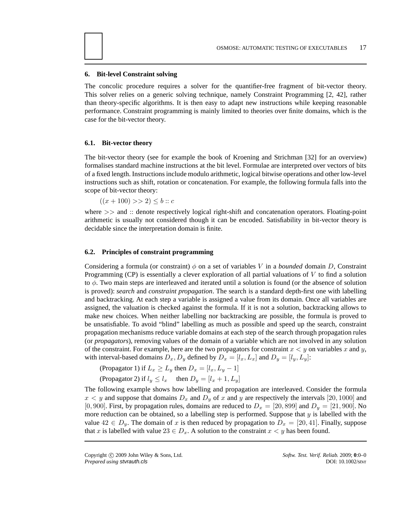# **6. Bit-level Constraint solving**

The concolic procedure requires a solver for the quantifier-free fragment of bit-vector theory. This solver relies on a generic solving technique, namely Constraint Programming [2, 42], rather than theory-specific algorithms. It is then easy to adapt new instructions while keeping reasonable performance. Constraint programming is mainly limited to theories over finite domains, which is the case for the bit-vector theory.

## **6.1. Bit-vector theory**

The bit-vector theory (see for example the book of Kroening and Strichman [32] for an overview) formalises standard machine instructions at the bit level. Formulae are interpreted over vectors of bits of a fixed length. Instructions include modulo arithmetic, logical bitwise operations and other low-level instructions such as shift, rotation or concatenation. For example, the following formula falls into the scope of bit-vector theory:

 $((x+100) >> 2) \leq b :: c$ 

where >> and :: denote respectively logical right-shift and concatenation operators. Floating-point arithmetic is usually not considered though it can be encoded. Satisfiability in bit-vector theory is decidable since the interpretation domain is finite.

#### **6.2. Principles of constraint programming**

Considering a formula (or constraint)  $\phi$  on a set of variables V in a *bounded* domain D, Constraint Programming (CP) is essentially a clever exploration of all partial valuations of  $V$  to find a solution to  $\phi$ . Two main steps are interleaved and iterated until a solution is found (or the absence of solution is proved): *search* and *constraint propagation*. The search is a standard depth-first one with labelling and backtracking. At each step a variable is assigned a value from its domain. Once all variables are assigned, the valuation is checked against the formula. If it is not a solution, backtracking allows to make new choices. When neither labelling nor backtracking are possible, the formula is proved to be unsatisfiable. To avoid "blind" labelling as much as possible and speed up the search, constraint propagation mechanisms reduce variable domains at each step of the search through propagation rules (or *propagators*), removing values of the domain of a variable which are not involved in any solution of the constraint. For example, here are the two propagators for constraint  $x < y$  on variables x and y, with interval-based domains  $D_x$ ,  $D_y$  defined by  $D_x = [l_x, L_x]$  and  $D_y = [l_y, L_y]$ :

(Propagator 1) if  $L_x \ge L_y$  then  $D_x = [l_x, L_y - 1]$ 

(Propagator 2) if  $l_y \leq l_x$  then  $D_y = [l_x + 1, L_y]$ 

The following example shows how labelling and propagation are interleaved. Consider the formula  $x < y$  and suppose that domains  $D_x$  and  $D_y$  of x and y are respectively the intervals [20, 1000] and [0, 900]. First, by propagation rules, domains are reduced to  $D_x = [20, 899]$  and  $D_y = [21, 900]$ . No more reduction can be obtained, so a labelling step is performed. Suppose that y is labelled with the value  $42 \in D_y$ . The domain of x is then reduced by propagation to  $D_x = [20, 41]$ . Finally, suppose that x is labelled with value  $23 \in D_x$ . A solution to the constraint  $x \leq y$  has been found.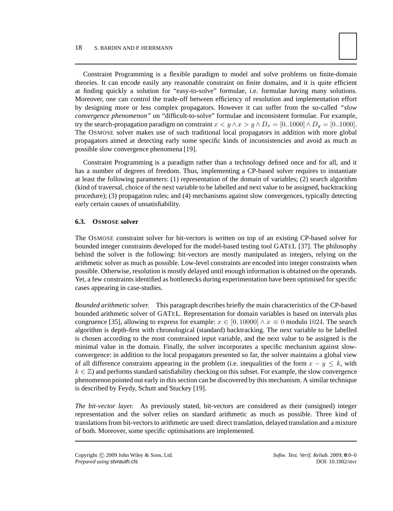

Constraint Programming is a flexible paradigm to model and solve problems on finite-domain theories. It can encode easily any reasonable constraint on finite domains, and it is quite efficient at finding quickly a solution for "easy-to-solve" formulae, i.e. formulae having many solutions. Moreover, one can control the trade-off between efficiency of resolution and implementation effort by designing more or less complex propagators. However it can suffer from the so-called *"slow convergence phenomenon"* on "difficult-to-solve" formulae and inconsistent formulae. For example, try the search-propagation paradigm on constraint  $x < y \wedge x > y \wedge D_x = [0..1000] \wedge D_y = [0..1000]$ . The OSMOSE solver makes use of such traditional local propagators in addition with more global propagators aimed at detecting early some specific kinds of inconsistencies and avoid as much as possible slow convergence phenomena [19].

Constraint Programming is a paradigm rather than a technology defined once and for all, and it has a number of degrees of freedom. Thus, implementing a CP-based solver requires to instantiate at least the following parameters: (1) representation of the domain of variables; (2) search algorithm (kind of traversal, choice of the next variable to be labelled and next value to be assigned, backtracking procedure); (3) propagation rules; and (4) mechanisms against slow convergences, typically detecting early certain causes of unsatisfiability.

# **6.3. OSMOSE solver**

The OSMOSE constraint solver for bit-vectors is written on top of an existing CP-based solver for bounded integer constraints developed for the model-based testing tool GATEL [37]. The philosophy behind the solver is the following: bit-vectors are mostly manipulated as integers, relying on the arithmetic solver as much as possible. Low-level constraints are encoded into integer constraints when possible. Otherwise, resolution is mostly delayed until enough information is obtained on the operands. Yet, a few constraints identified as bottlenecks during experimentation have been optimised for specific cases appearing in case-studies.

*Bounded arithmetic solver.* This paragraph describes briefly the main characteristics of the CP-based bounded arithmetic solver of GATEL. Representation for domain variables is based on intervals plus congruence [35], allowing to express for example:  $x \in [0, 10000] \wedge x \equiv 0$  modulo 1024. The search algorithm is depth-first with chronological (standard) backtracking. The next variable to be labelled is chosen according to the most constrained input variable, and the next value to be assigned is the minimal value in the domain. Finally, the solver incorporates a specific mechanism against slowconvergence: in addition to the local propagators presented so far, the solver maintains a global view of all difference constraints appearing in the problem (i.e. inequalities of the form  $x - y \leq k$ , with  $k \in \mathbb{Z}$ ) and performs standard satisfiability checking on this subset. For example, the slow convergence phenomenon pointed out early in this section can be discovered by this mechanism. A similar technique is described by Feydy, Schutt and Stuckey [19].

*The bit-vector layer.* As previously stated, bit-vectors are considered as their (unsigned) integer representation and the solver relies on standard arithmetic as much as possible. Three kind of translations from bit-vectors to arithmetic are used: direct translation, delayed translation and a mixture of both. Moreover, some specific optimisations are implemented.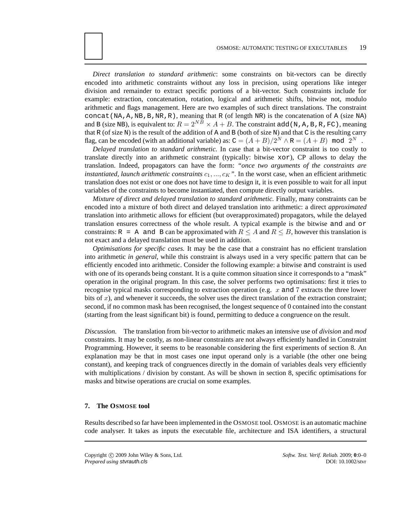*Direct translation to standard arithmetic*: some constraints on bit-vectors can be directly encoded into arithmetic constraints without any loss in precision, using operations like integer division and remainder to extract specific portions of a bit-vector. Such constraints include for example: extraction, concatenation, rotation, logical and arithmetic shifts, bitwise not, modulo arithmetic and flags management. Here are two examples of such direct translations. The constraint concat ( $NA$ ,  $A$ ,  $NB$ ,  $B$ ,  $NR$ ,  $R$ ), meaning that R (of length NR) is the concatenation of A (size NA) and B (size NB), is equivalent to:  $R = 2^{N\overline{B}} \times A + B$ . The constraint add (N, A, B, R, FC), meaning that R (of size N) is the result of the addition of A and B (both of size N) and that C is the resulting carry flag, can be encoded (with an additional variable) as:  $C = (A + B)/2^N \wedge R = (A + B) \mod 2^N$ .

*Delayed translation to standard arithmetic.* In case that a bit-vector constraint is too costly to translate directly into an arithmetic constraint (typically: bitwise xor), CP allows to delay the translation. Indeed, propagators can have the form: *"once two arguments of the constraints are instantiated, launch arithmetic constraints*  $c_1, ..., c_K$ ". In the worst case, when an efficient arithmetic translation does not exist or one does not have time to design it, it is even possible to wait for all input variables of the constraints to become instantiated, then compute directly output variables.

*Mixture of direct and delayed translation to standard arithmetic.* Finally, many constraints can be encoded into a mixture of both direct and delayed translation into arithmetic: a direct *approximated* translation into arithmetic allows for efficient (but overapproximated) propagators, while the delayed translation ensures correctness of the whole result. A typical example is the bitwise and and or constraints: R = A and B can be approximated with  $R \leq A$  and  $R \leq B$ , however this translation is not exact and a delayed translation must be used in addition.

*Optimisations for specific cases.* It may be the case that a constraint has no efficient translation into arithmetic *in general*, while this constraint is always used in a very specific pattern that can be efficiently encoded into arithmetic. Consider the following example: a bitwise and constraint is used with one of its operands being constant. It is a quite common situation since it corresponds to a "mask" operation in the original program. In this case, the solver performs two optimisations: first it tries to recognise typical masks corresponding to extraction operation (e.g.  $x$  and 7 extracts the three lower bits of  $x$ ), and whenever it succeeds, the solver uses the direct translation of the extraction constraint; second, if no common mask has been recognised, the longest sequence of 0 contained into the constant (starting from the least significant bit) is found, permitting to deduce a congruence on the result.

*Discussion.* The translation from bit-vector to arithmetic makes an intensive use of *division* and *mod* constraints. It may be costly, as non-linear constraints are not always efficiently handled in Constraint Programming. However, it seems to be reasonable considering the first experiments of section 8. An explanation may be that in most cases one input operand only is a variable (the other one being constant), and keeping track of congruences directly in the domain of variables deals very efficiently with multiplications / division by constant. As will be shown in section 8, specific optimisations for masks and bitwise operations are crucial on some examples.

# **7. The OSMOSE tool**

Results described so far have been implemented in the OSMOSE tool. OSMOSE is an automatic machine code analyser. It takes as inputs the executable file, architecture and ISA identifiers, a structural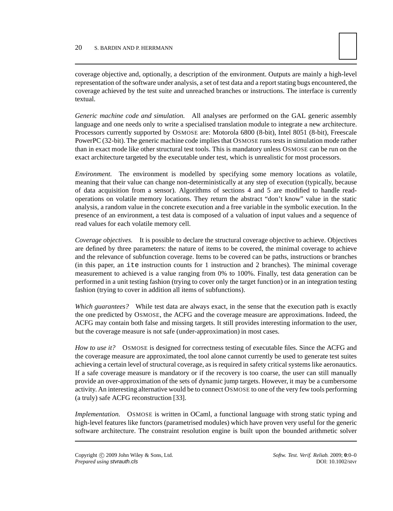

coverage objective and, optionally, a description of the environment. Outputs are mainly a high-level representation of the software under analysis, a set of test data and a report stating bugs encountered, the coverage achieved by the test suite and unreached branches or instructions. The interface is currently textual.

*Generic machine code and simulation.* All analyses are performed on the GAL generic assembly language and one needs only to write a specialised translation module to integrate a new architecture. Processors currently supported by OSMOSE are: Motorola 6800 (8-bit), Intel 8051 (8-bit), Freescale PowerPC (32-bit). The generic machine code implies that OSMOSE runs tests in simulation mode rather than in exact mode like other structural test tools. This is mandatory unless OSMOSE can be run on the exact architecture targeted by the executable under test, which is unrealistic for most processors.

*Environment.* The environment is modelled by specifying some memory locations as volatile, meaning that their value can change non-deterministically at any step of execution (typically, because of data acquisition from a sensor). Algorithms of sections 4 and 5 are modified to handle readoperations on volatile memory locations. They return the abstract "don't know" value in the static analysis, a random value in the concrete execution and a free variable in the symbolic execution. In the presence of an environment, a test data is composed of a valuation of input values and a sequence of read values for each volatile memory cell.

*Coverage objectives.* It is possible to declare the structural coverage objective to achieve. Objectives are defined by three parameters: the nature of items to be covered, the minimal coverage to achieve and the relevance of subfunction coverage. Items to be covered can be paths, instructions or branches (in this paper, an ite instruction counts for 1 instruction and 2 branches). The minimal coverage measurement to achieved is a value ranging from 0% to 100%. Finally, test data generation can be performed in a unit testing fashion (trying to cover only the target function) or in an integration testing fashion (trying to cover in addition all items of subfunctions).

*Which guarantees?* While test data are always exact, in the sense that the execution path is exactly the one predicted by OSMOSE, the ACFG and the coverage measure are approximations. Indeed, the ACFG may contain both false and missing targets. It still provides interesting information to the user, but the coverage measure is not safe (under-approximation) in most cases.

*How to use it?* OSMOSE is designed for correctness testing of executable files. Since the ACFG and the coverage measure are approximated, the tool alone cannot currently be used to generate test suites achieving a certain level of structural coverage, as is required in safety critical systems like aeronautics. If a safe coverage measure is mandatory or if the recovery is too coarse, the user can still manually provide an over-approximation of the sets of dynamic jump targets. However, it may be a cumbersome activity. An interesting alternative would be to connect OSMOSE to one of the very few tools performing (a truly) safe ACFG reconstruction [33].

*Implementation.* OSMOSE is written in OCaml, a functional language with strong static typing and high-level features like functors (parametrised modules) which have proven very useful for the generic software architecture. The constraint resolution engine is built upon the bounded arithmetic solver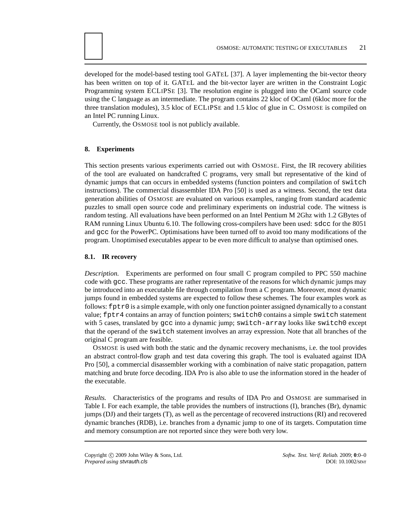developed for the model-based testing tool GATEL [37]. A layer implementing the bit-vector theory has been written on top of it. GATEL and the bit-vector layer are written in the Constraint Logic Programming system ECLIPSE [3]. The resolution engine is plugged into the OCaml source code using the C language as an intermediate. The program contains 22 kloc of OCaml (6kloc more for the three translation modules), 3.5 kloc of ECLIPSE and 1.5 kloc of glue in C. OSMOSE is compiled on an Intel PC running Linux.

Currently, the OSMOSE tool is not publicly available.

# **8. Experiments**

This section presents various experiments carried out with OSMOSE. First, the IR recovery abilities of the tool are evaluated on handcrafted C programs, very small but representative of the kind of dynamic jumps that can occurs in embedded systems (function pointers and compilation of switch instructions). The commercial disassembler IDA Pro [50] is used as a witness. Second, the test data generation abilities of OSMOSE are evaluated on various examples, ranging from standard academic puzzles to small open source code and preliminary experiments on industrial code. The witness is random testing. All evaluations have been performed on an Intel Pentium M 2Ghz with 1.2 GBytes of RAM running Linux Ubuntu 6.10. The following cross-compilers have been used: sdcc for the 8051 and gcc for the PowerPC. Optimisations have been turned off to avoid too many modifications of the program. Unoptimised executables appear to be even more difficult to analyse than optimised ones.

#### **8.1. IR recovery**

*Description.* Experiments are performed on four small C program compiled to PPC 550 machine code with gcc. These programs are rather representative of the reasons for which dynamic jumps may be introduced into an executable file through compilation from a C program. Moreover, most dynamic jumps found in embedded systems are expected to follow these schemes. The four examples work as follows:  $fptr0$  is a simple example, with only one function pointer assigned dynamically to a constant value; fptr4 contains an array of function pointers; switch0 contains a simple switch statement with 5 cases, translated by gcc into a dynamic jump; switch-array looks like switch0 except that the operand of the switch statement involves an array expression. Note that all branches of the original C program are feasible.

OSMOSE is used with both the static and the dynamic recovery mechanisms, i.e. the tool provides an abstract control-flow graph and test data covering this graph. The tool is evaluated against IDA Pro [50], a commercial disassembler working with a combination of naive static propagation, pattern matching and brute force decoding. IDA Pro is also able to use the information stored in the header of the executable.

*Results.* Characteristics of the programs and results of IDA Pro and OSMOSE are summarised in Table I. For each example, the table provides the numbers of instructions (I), branches (Br), dynamic jumps (DJ) and their targets (T), as well as the percentage of recovered instructions (RI) and recovered dynamic branches (RDB), i.e. branches from a dynamic jump to one of its targets. Computation time and memory consumption are not reported since they were both very low.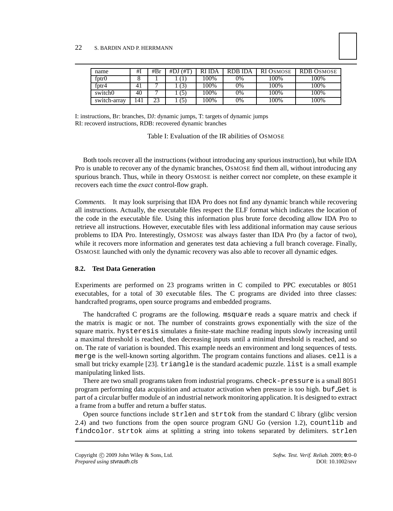| name              | #1             | #Br | $#DJ$ $#T$ | <b>RI IDA</b> | <b>RDB IDA</b> | RI OSMOSE | <b>RDB OSMOSE</b> |
|-------------------|----------------|-----|------------|---------------|----------------|-----------|-------------------|
| fptr0             |                |     |            | 100%          | 0%             | 100%      | 100%              |
| f <sub>ptr4</sub> | 4 <sub>1</sub> |     | 3)         | 100%          | 0%             | 100%      | 100%              |
| switch0           | 40             |     | (5)        | 100%          | 0%             | 100%      | 100%              |
| switch-array      | 141            | 23  | (5)        | 100%          | 0%             | 100%      | 100%              |

I: instructions, Br: branches, DJ: dynamic jumps, T: targets of dynamic jumps RI: recoverd instructions, RDB: recovered dynamic branches

Table I: Evaluation of the IR abilities of OSMOSE

Both tools recover all the instructions (without introducing any spurious instruction), but while IDA Pro is unable to recover any of the dynamic branches, OSMOSE find them all, without introducing any spurious branch. Thus, while in theory OSMOSE is neither correct nor complete, on these example it recovers each time the *exact* control-flow graph.

*Comments.* It may look surprising that IDA Pro does not find any dynamic branch while recovering all instructions. Actually, the executable files respect the ELF format which indicates the location of the code in the executable file. Using this information plus brute force decoding allow IDA Pro to retrieve all instructions. However, executable files with less additional information may cause serious problems to IDA Pro. Interestingly, OSMOSE was always faster than IDA Pro (by a factor of two), while it recovers more information and generates test data achieving a full branch coverage. Finally, OSMOSE launched with only the dynamic recovery was also able to recover all dynamic edges.

#### **8.2. Test Data Generation**

Experiments are performed on 23 programs written in C compiled to PPC executables or 8051 executables, for a total of 30 executable files. The C programs are divided into three classes: handcrafted programs, open source programs and embedded programs.

The handcrafted C programs are the following. msquare reads a square matrix and check if the matrix is magic or not. The number of constraints grows exponentially with the size of the square matrix. hysteresis simulates a finite-state machine reading inputs slowly increasing until a maximal threshold is reached, then decreasing inputs until a minimal threshold is reached, and so on. The rate of variation is bounded. This example needs an environment and long sequences of tests. merge is the well-known sorting algorithm. The program contains functions and aliases. cell is a small but tricky example [23]. triangle is the standard academic puzzle. list is a small example manipulating linked lists.

There are two small programs taken from industrial programs. check-pressure is a small 8051 program performing data acquisition and actuator activation when pressure is too high. buf Get is part of a circular buffer module of an industrial network monitoring application. It is designed to extract a frame from a buffer and return a buffer status.

Open source functions include strlen and strtok from the standard C library (glibc version 2.4) and two functions from the open source program GNU Go (version 1.2), countlib and findcolor. strtok aims at splitting a string into tokens separated by delimiters. strlen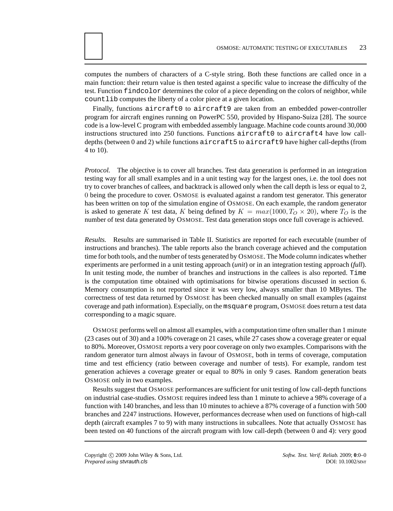computes the numbers of characters of a C-style string. Both these functions are called once in a main function: their return value is then tested against a specific value to increase the difficulty of the test. Function findcolor determines the color of a piece depending on the colors of neighbor, while countlib computes the liberty of a color piece at a given location.

Finally, functions aircraft0 to aircraft9 are taken from an embedded power-controller program for aircraft engines running on PowerPC 550, provided by Hispano-Suiza [28]. The source code is a low-level C program with embedded assembly language. Machine code counts around 30,000 instructions structured into 250 functions. Functions aircraft0 to aircraft4 have low calldepths (between 0 and 2) while functions aircraft5 to aircraft9 have higher call-depths (from 4 to 10).

*Protocol.* The objective is to cover all branches. Test data generation is performed in an integration testing way for all small examples and in a unit testing way for the largest ones, i.e. the tool does not try to cover branches of callees, and backtrack is allowed only when the call depth is less or equal to 2, 0 being the procedure to cover. OSMOSE is evaluated against a random test generator. This generator has been written on top of the simulation engine of OSMOSE. On each example, the random generator is asked to generate K test data, K being defined by  $K = max(1000, T<sub>O</sub> \times 20)$ , where  $T<sub>O</sub>$  is the number of test data generated by OSMOSE. Test data generation stops once full coverage is achieved.

*Results.* Results are summarised in Table II. Statistics are reported for each executable (number of instructions and branches). The table reports also the branch coverage achieved and the computation time for both tools, and the number of tests generated by OSMOSE. The Mode column indicates whether experiments are performed in a unit testing approach (*unit*) or in an integration testing approach (*full*). In unit testing mode, the number of branches and instructions in the callees is also reported. Time is the computation time obtained with optimisations for bitwise operations discussed in section 6. Memory consumption is not reported since it was very low, always smaller than 10 MBytes. The correctness of test data returned by OSMOSE has been checked manually on small examples (against coverage and path information). Especially, on the msquare program, OSMOSE does return a test data corresponding to a magic square.

OSMOSE performs well on almost all examples, with a computation time often smaller than 1 minute (23 cases out of 30) and a 100% coverage on 21 cases, while 27 cases show a coverage greater or equal to 80%. Moreover, OSMOSE reports a very poor coverage on only two examples. Comparisons with the random generator turn almost always in favour of OSMOSE, both in terms of coverage, computation time and test efficiency (ratio between coverage and number of tests). For example, random test generation achieves a coverage greater or equal to 80% in only 9 cases. Random generation beats OSMOSE only in two examples.

Results suggest that OSMOSE performances are sufficient for unit testing of low call-depth functions on industrial case-studies. OSMOSE requires indeed less than 1 minute to achieve a 98% coverage of a function with 140 branches, and less than 10 minutes to achieve a 87% coverage of a function with 500 branches and 2247 instructions. However, performances decrease when used on functions of high-call depth (aircraft examples 7 to 9) with many instructions in subcallees. Note that actually OSMOSE has been tested on 40 functions of the aircraft program with low call-depth (between 0 and 4): very good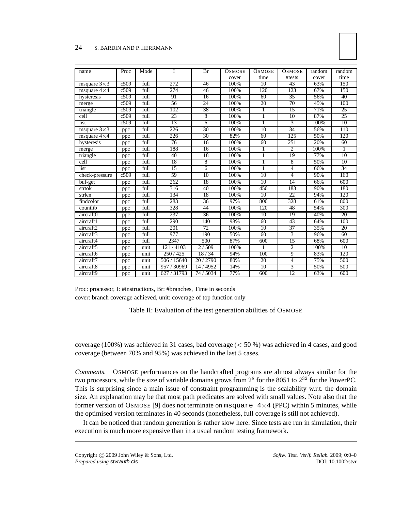#### 24 S. BARDIN AND P. HERRMANN

| name                 | Proc | Mode | I           | Br              | <b>OSMOSE</b> | <b>OSMOSE</b>   | <b>OSMOSE</b>  | random | random |
|----------------------|------|------|-------------|-----------------|---------------|-----------------|----------------|--------|--------|
|                      |      |      |             |                 | cover         | time            | #tests         | cover  | time   |
| msquare $3\times3$   | c509 | full | 272         | 46              | 100%          | 10              | 43             | 63%    | 150    |
| msquare $4\times4$   | c509 | full | 274         | 46              | 100%          | 120             | 123            | 67%    | 150    |
| hysteresis           | c509 | full | 91          | 16              | 100%          | 60              | 35             | 56%    | 40     |
| merge                | c509 | full | 56          | 24              | 100%          | 20              | 70             | 45%    | 100    |
| triangle             | c509 | full | 102         | 38              | 100%          | 1               | 15             | 71%    | 25     |
| cell                 | c509 | full | 23          | 8               | 100%          | 1               | 10             | 87%    | 25     |
| list                 | c509 | full | 13          | 6               | 100%          | 1               | $\overline{3}$ | 100%   | 10     |
| msquare $3\times3$   | ppc  | full | 226         | $\overline{30}$ | 100%          | 10              | 34             | 56%    | 110    |
| msquare $4 \times 4$ | ppc  | full | 226         | 30              | 82%           | 60              | 125            | 50%    | 120    |
| hysteresis           | ppc  | full | 76          | 16              | 100%          | 60              | 251            | 20%    | 60     |
| merge                | ppc  | full | 188         | 16              | 100%          | 1               | $\overline{2}$ | 100%   | 1      |
| triangle             | ppc  | full | 40          | 18              | 100%          | 1               | 19             | 77%    | 10     |
| cell                 | ppc  | full | 18          | 8               | 100%          | 1               | 8              | 50%    | 10     |
| list                 | ppc  | full | 15          | 6               | 100%          | 1               | $\overline{4}$ | 66%    | 34     |
| check-pressure       | c509 | full | 59          | 10              | 100%          | 10              | 4              | 90%    | 160    |
| buf-get              | ppc  | full | 262         | 18              | 100%          | 10              | 14             | 66%    | 600    |
| strtok               | ppc  | full | 316         | 40              | 100%          | 450             | 183            | 90%    | 180    |
| strlen               | ppc  | full | 134         | 18              | 100%          | 10              | 22             | 94%    | 120    |
| findcolor            | ppc  | full | 283         | 36              | 97%           | 800             | 328            | 61%    | 800    |
| countlib             | ppc  | full | 328         | 44              | 100%          | 120             | 48             | 54%    | 300    |
| aircraft0            | ppc  | full | 237         | $\overline{36}$ | 100%          | 10              | 19             | 40%    | 20     |
| aircraft1            | ppc  | full | 290         | 140             | 98%           | 60              | 43             | 64%    | 100    |
| aircraft2            | ppc  | full | 201         | 72              | 100%          | 10              | 37             | 35%    | 20     |
| aircraft3            | ppc  | full | 977         | 190             | 50%           | 60              | 3              | 96%    | 60     |
| aircraft4            | ppc  | full | 2347        | 500             | 87%           | 600             | 15             | 68%    | 600    |
| aircraft5            | ppc  | unit | 121/4103    | 2/509           | 100%          | 1               | $\overline{c}$ | 100%   | 10     |
| aircraft6            | ppc  | unit | 250/425     | 18/34           | 94%           | 100             | 9              | 83%    | 120    |
| aircraft7            | ppc  | unit | 506 / 15640 | 20/2790         | 80%           | $\overline{20}$ | $\overline{4}$ | 75%    | 500    |
| aircraft8            | ppc  | unit | 957 / 30969 | 4952<br>14/     | 14%           | 10              | 3              | 50%    | 500    |
| aircraft9            | ppc  | unit | 627 / 31793 | 74 / 5034       | 77%           | 600             | 12             | 63%    | 600    |

Proc: processor, I: #instructions, Br: #branches, Time in seconds cover: branch coverage achieved, unit: coverage of top function only

Table II: Evaluation of the test generation abilities of OSMOSE

coverage (100%) was achieved in 31 cases, bad coverage ( $<$  50%) was achieved in 4 cases, and good coverage (between 70% and 95%) was achieved in the last 5 cases.

*Comments.* OSMOSE performances on the handcrafted programs are almost always similar for the two processors, while the size of variable domains grows from  $2^8$  for the 8051 to  $2^{32}$  for the PowerPC. This is surprising since a main issue of constraint programming is the scalability w.r.t. the domain size. An explanation may be that most path predicates are solved with small values. Note also that the former version of OSMOSE [9] does not terminate on msquare  $4 \times 4$  (PPC) within 5 minutes, while the optimised version terminates in 40 seconds (nonetheless, full coverage is still not achieved).

It can be noticed that random generation is rather slow here. Since tests are run in simulation, their execution is much more expensive than in a usual random testing framework.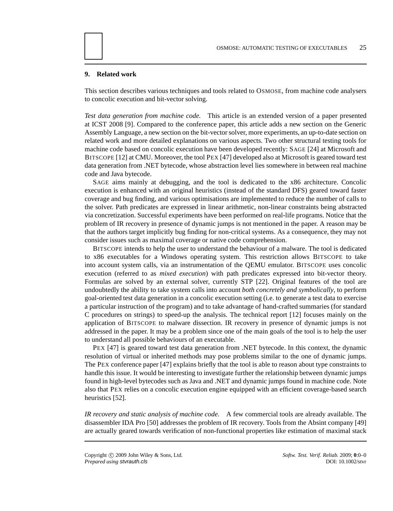# **9. Related work**

This section describes various techniques and tools related to OSMOSE, from machine code analysers to concolic execution and bit-vector solving.

*Test data generation from machine code.* This article is an extended version of a paper presented at ICST 2008 [9]. Compared to the conference paper, this article adds a new section on the Generic Assembly Language, a new section on the bit-vector solver, more experiments, an up-to-date section on related work and more detailed explanations on various aspects. Two other structural testing tools for machine code based on concolic execution have been developed recently: SAGE [24] at Microsoft and BITSCOPE [12] at CMU. Moreover, the tool PEX [47] developed also at Microsoft is geared toward test data generation from .NET bytecode, whose abstraction level lies somewhere in between real machine code and Java bytecode.

SAGE aims mainly at debugging, and the tool is dedicated to the x86 architecture. Concolic execution is enhanced with an original heuristics (instead of the standard DFS) geared toward faster coverage and bug finding, and various optimisations are implemented to reduce the number of calls to the solver. Path predicates are expressed in linear arithmetic, non-linear constraints being abstracted via concretization. Successful experiments have been performed on real-life programs. Notice that the problem of IR recovery in presence of dynamic jumps is not mentioned in the paper. A reason may be that the authors target implicitly bug finding for non-critical systems. As a consequence, they may not consider issues such as maximal coverage or native code comprehension.

BITSCOPE intends to help the user to understand the behaviour of a malware. The tool is dedicated to x86 executables for a Windows operating system. This restriction allows BITSCOPE to take into account system calls, via an instrumentation of the QEMU emulator. BITSCOPE uses concolic execution (referred to as *mixed execution*) with path predicates expressed into bit-vector theory. Formulas are solved by an external solver, currently STP [22]. Original features of the tool are undoubtedly the ability to take system calls into account *both concretely and symbolically*, to perform goal-oriented test data generation in a concolic execution setting (i.e. to generate a test data to exercise a particular instruction of the program) and to take advantage of hand-crafted summaries (for standard C procedures on strings) to speed-up the analysis. The technical report [12] focuses mainly on the application of BITSCOPE to malware dissection. IR recovery in presence of dynamic jumps is not addressed in the paper. It may be a problem since one of the main goals of the tool is to help the user to understand all possible behaviours of an executable.

PEX [47] is geared toward test data generation from .NET bytecode. In this context, the dynamic resolution of virtual or inherited methods may pose problems similar to the one of dynamic jumps. The PEX conference paper [47] explains briefly that the tool is able to reason about type constraints to handle this issue. It would be interesting to investigate further the relationship between dynamic jumps found in high-level bytecodes such as Java and .NET and dynamic jumps found in machine code. Note also that PEX relies on a concolic execution engine equipped with an efficient coverage-based search heuristics [52].

*IR recovery and static analysis of machine code.* A few commercial tools are already available. The disassembler IDA Pro [50] addresses the problem of IR recovery. Tools from the Absint company [49] are actually geared towards verification of non-functional properties like estimation of maximal stack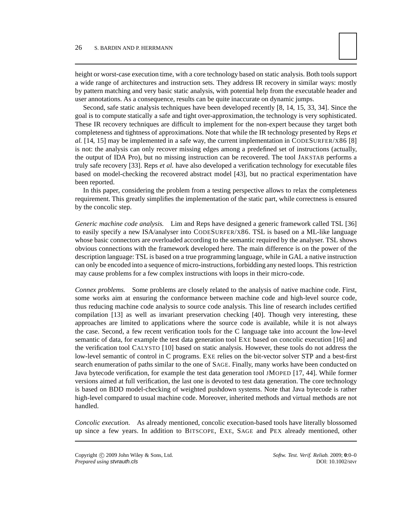height or worst-case execution time, with a core technology based on static analysis. Both tools support a wide range of architectures and instruction sets. They address IR recovery in similar ways: mostly by pattern matching and very basic static analysis, with potential help from the executable header and user annotations. As a consequence, results can be quite inaccurate on dynamic jumps.

Second, safe static analysis techniques have been developed recently [8, 14, 15, 33, 34]. Since the goal is to compute statically a safe and tight over-approximation, the technology is very sophisticated. These IR recovery techniques are difficult to implement for the non-expert because they target both completeness and tightness of approximations. Note that while the IR technology presented by Reps *et al.* [14, 15] may be implemented in a safe way, the current implementation in CODESURFER/X86 [8] is not: the analysis can only recover missing edges among a predefined set of instructions (actually, the output of IDA Pro), but no missing instruction can be recovered. The tool JAKSTAB performs a truly safe recovery [33]. Reps *et al.* have also developed a verification technology for executable files based on model-checking the recovered abstract model [43], but no practical experimentation have been reported.

In this paper, considering the problem from a testing perspective allows to relax the completeness requirement. This greatly simplifies the implementation of the static part, while correctness is ensured by the concolic step.

*Generic machine code analysis.* Lim and Reps have designed a generic framework called TSL [36] to easily specify a new ISA/analyser into CODESURFER/X86. TSL is based on a ML-like language whose basic connectors are overloaded according to the semantic required by the analyser. TSL shows obvious connections with the framework developed here. The main difference is on the power of the description language: TSL is based on a true programming language, while in GAL a native instruction can only be encoded into a sequence of micro-instructions, forbidding any nested loops. This restriction may cause problems for a few complex instructions with loops in their micro-code.

*Connex problems.* Some problems are closely related to the analysis of native machine code. First, some works aim at ensuring the conformance between machine code and high-level source code, thus reducing machine code analysis to source code analysis. This line of research includes certified compilation [13] as well as invariant preservation checking [40]. Though very interesting, these approaches are limited to applications where the source code is available, while it is not always the case. Second, a few recent verification tools for the C language take into account the low-level semantic of data, for example the test data generation tool EXE based on concolic execution [16] and the verification tool CALYSTO [10] based on static analysis. However, these tools do not address the low-level semantic of control in C programs. EXE relies on the bit-vector solver STP and a best-first search enumeration of paths similar to the one of SAGE. Finally, many works have been conducted on Java bytecode verification, for example the test data generation tool JMOPED [17, 44]. While former versions aimed at full verification, the last one is devoted to test data generation. The core technology is based on BDD model-checking of weighted pushdown systems. Note that Java bytecode is rather high-level compared to usual machine code. Moreover, inherited methods and virtual methods are not handled.

*Concolic execution.* As already mentioned, concolic execution-based tools have literally blossomed up since a few years. In addition to BITSCOPE, EXE, SAGE and PEX already mentioned, other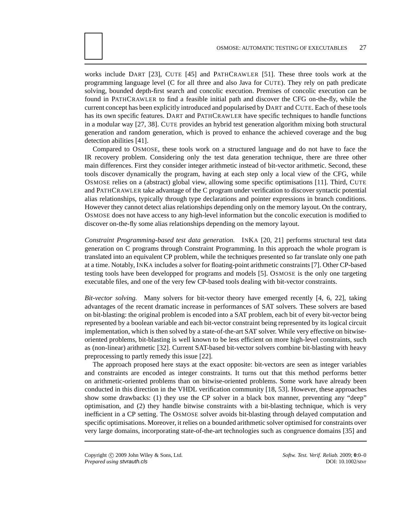works include DART [23], CUTE [45] and PATHCRAWLER [51]. These three tools work at the programming language level (C for all three and also Java for CUTE). They rely on path predicate solving, bounded depth-first search and concolic execution. Premises of concolic execution can be found in PATHCRAWLER to find a feasible initial path and discover the CFG on-the-fly, while the current concept has been explicitly introduced and popularised by DART and CUTE. Each of these tools has its own specific features. DART and PATHCRAWLER have specific techniques to handle functions in a modular way [27, 38]. CUTE provides an hybrid test generation algorithm mixing both structural generation and random generation, which is proved to enhance the achieved coverage and the bug detection abilities [41].

Compared to OSMOSE, these tools work on a structured language and do not have to face the IR recovery problem. Considering only the test data generation technique, there are three other main differences. First they consider integer arithmetic instead of bit-vector arithmetic. Second, these tools discover dynamically the program, having at each step only a local view of the CFG, while OSMOSE relies on a (abstract) global view, allowing some specific optimisations [11]. Third, CUTE and PATHCRAWLER take advantage of the C program under verification to discover syntactic potential alias relationships, typically through type declarations and pointer expressions in branch conditions. However they cannot detect alias relationships depending only on the memory layout. On the contrary, OSMOSE does not have access to any high-level information but the concolic execution is modified to discover on-the-fly some alias relationships depending on the memory layout.

*Constraint Programming-based test data generation.* INKA [20, 21] performs structural test data generation on C programs through Constraint Programming. In this approach the whole program is translated into an equivalent CP problem, while the techniques presented so far translate only one path at a time. Notably, INKA includes a solver for floating-point arithmetic constraints [7]. Other CP-based testing tools have been developped for programs and models [5]. OSMOSE is the only one targeting executable files, and one of the very few CP-based tools dealing with bit-vector constraints.

*Bit-vector solving.* Many solvers for bit-vector theory have emerged recently [4, 6, 22], taking advantages of the recent dramatic increase in performances of SAT solvers. These solvers are based on bit-blasting: the original problem is encoded into a SAT problem, each bit of every bit-vector being represented by a boolean variable and each bit-vector constraint being represented by its logical circuit implementation, which is then solved by a state-of-the-art SAT solver. While very effective on bitwiseoriented problems, bit-blasting is well known to be less efficient on more high-level constraints, such as (non-linear) arithmetic [32]. Current SAT-based bit-vector solvers combine bit-blasting with heavy preprocessing to partly remedy this issue [22].

The approach proposed here stays at the exact opposite: bit-vectors are seen as integer variables and constraints are encoded as integer constraints. It turns out that this method performs better on arithmetic-oriented problems than on bitwise-oriented problems. Some work have already been conducted in this direction in the VHDL verification community [18, 53]. However, these approaches show some drawbacks: (1) they use the CP solver in a black box manner, preventing any "deep" optimisation, and (2) they handle bitwise constraints with a bit-blasting technique, which is very inefficient in a CP setting. The OSMOSE solver avoids bit-blasting through delayed computation and specific optimisations. Moreover, it relies on a bounded arithmetic solver optimised for constraints over very large domains, incorporating state-of-the-art technologies such as congruence domains [35] and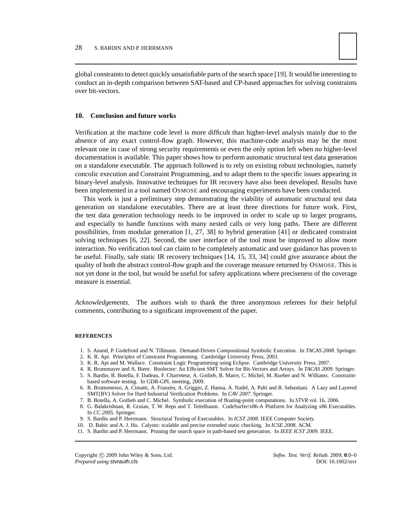global constraints to detect quickly unsatisfiable parts of the search space [19]. It would be interesting to conduct an in-depth comparison between SAT-based and CP-based approaches for solving constraints over bit-vectors.

#### **10. Conclusion and future works**

Verification at the machine code level is more difficult than higher-level analysis mainly due to the absence of any exact control-flow graph. However, this machine-code analysis may be the most relevant one in case of strong security requirements or even the only option left when no higher-level documentation is available. This paper shows how to perform automatic structural test data generation on a standalone executable. The approach followed is to rely on existing robust technologies, namely concolic execution and Constraint Programming, and to adapt them to the specific issues appearing in binary-level analysis. Innovative techniques for IR recovery have also been developed. Results have been implemented in a tool named OSMOSE and encouraging experiments have been conducted.

This work is just a preliminary step demonstrating the viability of automatic structural test data generation on standalone executables. There are at least three directions for future work. First, the test data generation technology needs to be improved in order to scale up to larger programs, and especially to handle functions with many nested calls or very long paths. There are different possibilities, from modular generation [1, 27, 38] to hybrid generation [41] or dedicated constraint solving techniques [6, 22]. Second, the user interface of the tool must be improved to allow more interaction. No verification tool can claim to be completely automatic and user guidance has proven to be useful. Finally, safe static IR recovery techniques [14, 15, 33, 34] could give assurance about the quality of both the abstract control-flow graph and the coverage measure returned by OSMOSE. This is not yet done in the tool, but would be useful for safety applications where preciseness of the coverage measure is essential.

*Acknowledgements.* The authors wish to thank the three anonymous referees for their helpful comments, contributing to a significant improvement of the paper.

#### **REFERENCES**

- 1. S. Anand, P. Godefroid and N. Tillmann. Demand-Driven Compositional Symbolic Execution. In *TACAS 2008*. Springer.
- 2. K. R. Apt. Principles of Constraint Programming. Cambridge University Press, 2003.
- 3. K. R. Apt and M. Wallace. Constraint Logic Programming using Eclipse. Cambridge University Press, 2007.
- 4. R. Brummayer and A. Biere. Boolector: An Efficient SMT Solver for Bit-Vectors and Arrays. In *TACAS 2009*. Springer.
- 5. S. Bardin, B. Botella, F. Dadeau, F. Charreteur, A. Gotlieb, B. Marre, C. Michel, M. Rueher and N. Williams. Constraintbased software testing. In GDR-GPL meeting, 2009.
- 6. R. Bruttomesso, A. Cimatti, A. Franzén, A. Griggio, Z. Hanna, A. Nadel, A. Palti and R. Sebastiani. A Lazy and Layered SMT(BV) Solver for Hard Industrial Verification Problems. In *CAV 2007*. Springer.
- 7. B. Botella, A. Gotlieb and C. Michel. Symbolic execution of floating-point computations. In *STVR* vol. 16, 2006.
- 8. G. Balakrishnan, R. Gruian, T. W. Reps and T. Teitelbaum. CodeSurfer/x86-A Platform for Analyzing x86 Executables. In *CC 2005*. Springer.
- 9. S. Bardin and P. Herrmann. Structural Testing of Executables. In *ICST 2008*. IEEE Computer Society.
- 10. D. Babic and A. J. Hu. Calysto: scalable and precise extended static checking, In *ICSE 2008*. ACM.
- 11. S. Bardin and P. Herrmann. Pruning the search space in path-based test generation. In *IEEE ICST 2009*. IEEE.

Copyright © 2009 John Wiley & Sons, Ltd. *Softw. Test. Verif. Reliab.* 2009; 0:0–0 *Prepared using* stvrauth.cls **DOI: 10.1002/stvr**